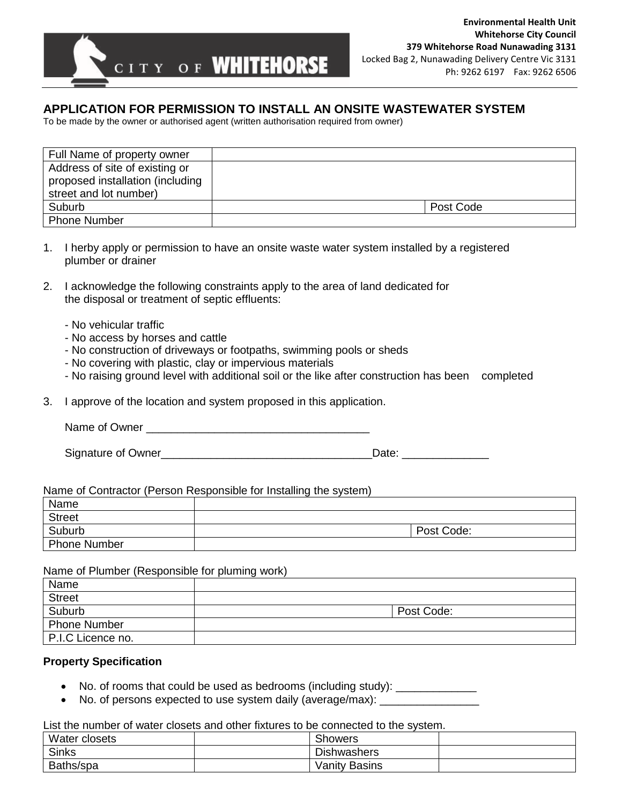

# **APPLICATION FOR PERMISSION TO INSTALL AN ONSITE WASTEWATER SYSTEM**

To be made by the owner or authorised agent (written authorisation required from owner)

| Full Name of property owner      |           |
|----------------------------------|-----------|
| Address of site of existing or   |           |
| proposed installation (including |           |
| street and lot number)           |           |
| Suburb                           | Post Code |
| <b>Phone Number</b>              |           |

- 1. I herby apply or permission to have an onsite waste water system installed by a registered plumber or drainer
- 2. I acknowledge the following constraints apply to the area of land dedicated for the disposal or treatment of septic effluents:
	- No vehicular traffic
	- No access by horses and cattle
	- No construction of driveways or footpaths, swimming pools or sheds
	- No covering with plastic, clay or impervious materials
	- No raising ground level with additional soil or the like after construction has been completed
- 3. I approve of the location and system proposed in this application.

Name of Owner \_\_\_\_\_\_\_\_\_\_\_\_\_\_\_\_\_\_\_\_\_\_\_\_\_\_\_\_\_\_\_\_\_\_\_\_

| Signature of Owner | Date <sup>.</sup> |
|--------------------|-------------------|
|                    |                   |

#### Name of Contractor (Person Responsible for Installing the system)

| Name                |            |
|---------------------|------------|
| <b>Street</b>       |            |
| Suburb              | Post Code: |
| <b>Phone Number</b> |            |

#### Name of Plumber (Responsible for pluming work)

| Name                |            |
|---------------------|------------|
| <b>Street</b>       |            |
| Suburb              | Post Code: |
| <b>Phone Number</b> |            |
| P.I.C Licence no.   |            |

### **Property Specification**

- No. of rooms that could be used as bedrooms (including study): \_\_\_\_\_\_\_\_\_\_\_\_\_\_
- No. of persons expected to use system daily (average/max):

List the number of water closets and other fixtures to be connected to the system.

| Water closets | sthowers           |  |
|---------------|--------------------|--|
| <b>Sinks</b>  | <b>Dishwashers</b> |  |
| Baths/spa     | Vanity Basins      |  |